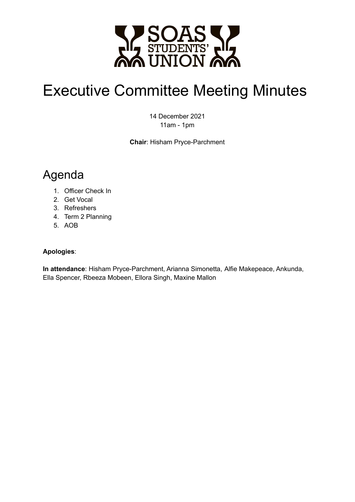

# Executive Committee Meeting Minutes

14 December 2021 11am - 1pm

**Chair**: Hisham Pryce-Parchment

## Agenda

- 1. Officer Check In
- 2. Get Vocal
- 3. Refreshers
- 4. Term 2 Planning
- 5. AOB

#### **Apologies**:

**In attendance**: Hisham Pryce-Parchment, Arianna Simonetta, Alfie Makepeace, Ankunda, Ella Spencer, Rbeeza Mobeen, Ellora Singh, Maxine Mallon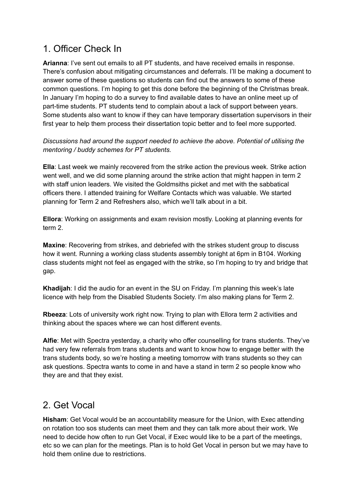## 1. Officer Check In

**Arianna**: I've sent out emails to all PT students, and have received emails in response. There's confusion about mitigating circumstances and deferrals. I'll be making a document to answer some of these questions so students can find out the answers to some of these common questions. I'm hoping to get this done before the beginning of the Christmas break. In January I'm hoping to do a survey to find available dates to have an online meet up of part-time students. PT students tend to complain about a lack of support between years. Some students also want to know if they can have temporary dissertation supervisors in their first year to help them process their dissertation topic better and to feel more supported.

*Discussions had around the support needed to achieve the above. Potential of utilising the mentoring / buddy schemes for PT students.*

**Ella**: Last week we mainly recovered from the strike action the previous week. Strike action went well, and we did some planning around the strike action that might happen in term 2 with staff union leaders. We visited the Goldmsiths picket and met with the sabbatical officers there. I attended training for Welfare Contacts which was valuable. We started planning for Term 2 and Refreshers also, which we'll talk about in a bit.

**Ellora**: Working on assignments and exam revision mostly. Looking at planning events for term 2.

**Maxine**: Recovering from strikes, and debriefed with the strikes student group to discuss how it went. Running a working class students assembly tonight at 6pm in B104. Working class students might not feel as engaged with the strike, so I'm hoping to try and bridge that gap.

**Khadijah**: I did the audio for an event in the SU on Friday. I'm planning this week's late licence with help from the Disabled Students Society. I'm also making plans for Term 2.

**Rbeeza**: Lots of university work right now. Trying to plan with Ellora term 2 activities and thinking about the spaces where we can host different events.

**Alfie**: Met with Spectra yesterday, a charity who offer counselling for trans students. They've had very few referrals from trans students and want to know how to engage better with the trans students body, so we're hosting a meeting tomorrow with trans students so they can ask questions. Spectra wants to come in and have a stand in term 2 so people know who they are and that they exist.

### 2. Get Vocal

**Hisham**: Get Vocal would be an accountability measure for the Union, with Exec attending on rotation too sos students can meet them and they can talk more about their work. We need to decide how often to run Get Vocal, if Exec would like to be a part of the meetings, etc so we can plan for the meetings. Plan is to hold Get Vocal in person but we may have to hold them online due to restrictions.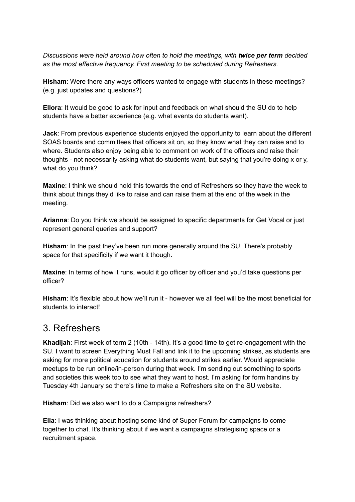*Discussions were held around how often to hold the meetings, with twice per term decided as the most effective frequency. First meeting to be scheduled during Refreshers.*

**Hisham**: Were there any ways officers wanted to engage with students in these meetings? (e.g. just updates and questions?)

**Ellora**: It would be good to ask for input and feedback on what should the SU do to help students have a better experience (e.g. what events do students want).

**Jack**: From previous experience students enjoyed the opportunity to learn about the different SOAS boards and committees that officers sit on, so they know what they can raise and to where. Students also enjoy being able to comment on work of the officers and raise their thoughts - not necessarily asking what do students want, but saying that you're doing x or y, what do you think?

**Maxine**: I think we should hold this towards the end of Refreshers so they have the week to think about things they'd like to raise and can raise them at the end of the week in the meeting.

**Arianna**: Do you think we should be assigned to specific departments for Get Vocal or just represent general queries and support?

**Hisham**: In the past they've been run more generally around the SU. There's probably space for that specificity if we want it though.

**Maxine**: In terms of how it runs, would it go officer by officer and you'd take questions per officer?

**Hisham**: It's flexible about how we'll run it - however we all feel will be the most beneficial for students to interact!

#### 3. Refreshers

**Khadijah**: First week of term 2 (10th - 14th). It's a good time to get re-engagement with the SU. I want to screen Everything Must Fall and link it to the upcoming strikes, as students are asking for more political education for students around strikes earlier. Would appreciate meetups to be run online/in-person during that week. I'm sending out something to sports and societies this week too to see what they want to host. I'm asking for form handins by Tuesday 4th January so there's time to make a Refreshers site on the SU website.

#### **Hisham**: Did we also want to do a Campaigns refreshers?

**Ella**: I was thinking about hosting some kind of Super Forum for campaigns to come together to chat. It's thinking about if we want a campaigns strategising space or a recruitment space.